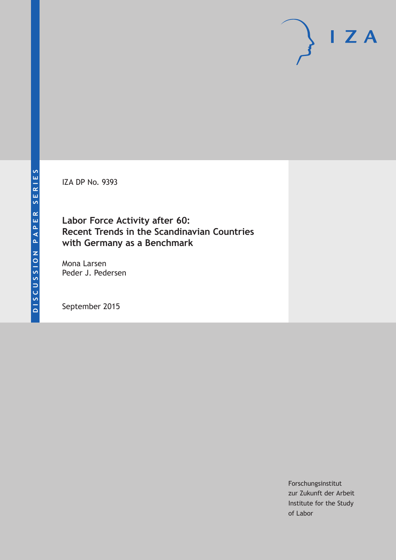IZA DP No. 9393

## **Labor Force Activity after 60: Recent Trends in the Scandinavian Countries with Germany as a Benchmark**

Mona Larsen Peder J. Pedersen

September 2015

Forschungsinstitut zur Zukunft der Arbeit Institute for the Study of Labor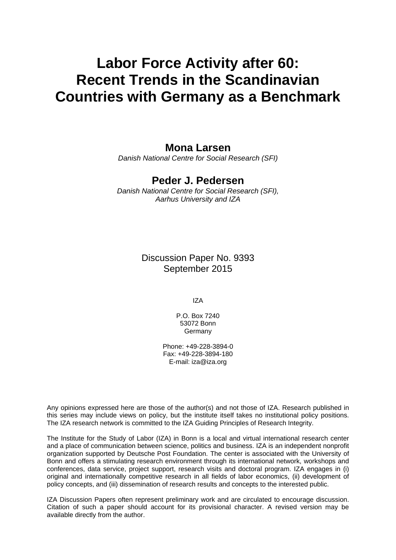# **Labor Force Activity after 60: Recent Trends in the Scandinavian Countries with Germany as a Benchmark**

### **Mona Larsen**

*Danish National Centre for Social Research (SFI)* 

### **Peder J. Pedersen**

*Danish National Centre for Social Research (SFI), Aarhus University and IZA* 

> Discussion Paper No. 9393 September 2015

> > IZA

P.O. Box 7240 53072 Bonn **Germany** 

Phone: +49-228-3894-0 Fax: +49-228-3894-180 E-mail: iza@iza.org

Any opinions expressed here are those of the author(s) and not those of IZA. Research published in this series may include views on policy, but the institute itself takes no institutional policy positions. The IZA research network is committed to the IZA Guiding Principles of Research Integrity.

The Institute for the Study of Labor (IZA) in Bonn is a local and virtual international research center and a place of communication between science, politics and business. IZA is an independent nonprofit organization supported by Deutsche Post Foundation. The center is associated with the University of Bonn and offers a stimulating research environment through its international network, workshops and conferences, data service, project support, research visits and doctoral program. IZA engages in (i) original and internationally competitive research in all fields of labor economics, (ii) development of policy concepts, and (iii) dissemination of research results and concepts to the interested public.

IZA Discussion Papers often represent preliminary work and are circulated to encourage discussion. Citation of such a paper should account for its provisional character. A revised version may be available directly from the author.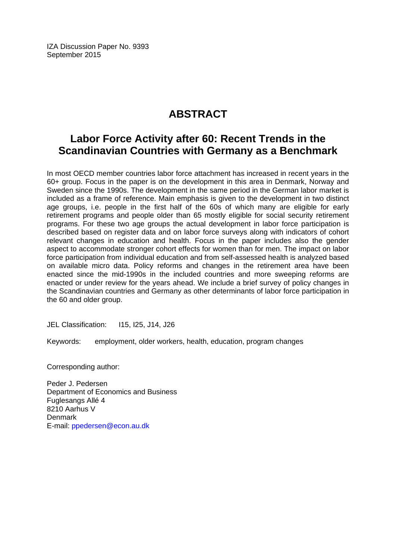IZA Discussion Paper No. 9393 September 2015

# **ABSTRACT**

# **Labor Force Activity after 60: Recent Trends in the Scandinavian Countries with Germany as a Benchmark**

In most OECD member countries labor force attachment has increased in recent years in the 60+ group. Focus in the paper is on the development in this area in Denmark, Norway and Sweden since the 1990s. The development in the same period in the German labor market is included as a frame of reference. Main emphasis is given to the development in two distinct age groups, i.e. people in the first half of the 60s of which many are eligible for early retirement programs and people older than 65 mostly eligible for social security retirement programs. For these two age groups the actual development in labor force participation is described based on register data and on labor force surveys along with indicators of cohort relevant changes in education and health. Focus in the paper includes also the gender aspect to accommodate stronger cohort effects for women than for men. The impact on labor force participation from individual education and from self-assessed health is analyzed based on available micro data. Policy reforms and changes in the retirement area have been enacted since the mid-1990s in the included countries and more sweeping reforms are enacted or under review for the years ahead. We include a brief survey of policy changes in the Scandinavian countries and Germany as other determinants of labor force participation in the 60 and older group.

JEL Classification: I15, I25, J14, J26

Keywords: employment, older workers, health, education, program changes

Corresponding author:

Peder J. Pedersen Department of Economics and Business Fuglesangs Allé 4 8210 Aarhus V Denmark E-mail: ppedersen@econ.au.dk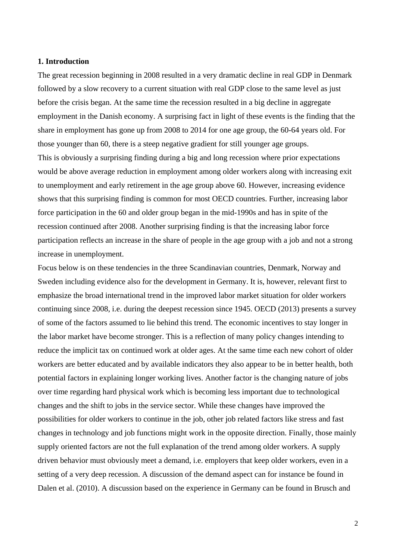#### **1. Introduction**

The great recession beginning in 2008 resulted in a very dramatic decline in real GDP in Denmark followed by a slow recovery to a current situation with real GDP close to the same level as just before the crisis began. At the same time the recession resulted in a big decline in aggregate employment in the Danish economy. A surprising fact in light of these events is the finding that the share in employment has gone up from 2008 to 2014 for one age group, the 60-64 years old. For those younger than 60, there is a steep negative gradient for still younger age groups. This is obviously a surprising finding during a big and long recession where prior expectations would be above average reduction in employment among older workers along with increasing exit to unemployment and early retirement in the age group above 60. However, increasing evidence shows that this surprising finding is common for most OECD countries. Further, increasing labor force participation in the 60 and older group began in the mid-1990s and has in spite of the recession continued after 2008. Another surprising finding is that the increasing labor force participation reflects an increase in the share of people in the age group with a job and not a strong increase in unemployment.

Focus below is on these tendencies in the three Scandinavian countries, Denmark, Norway and Sweden including evidence also for the development in Germany. It is, however, relevant first to emphasize the broad international trend in the improved labor market situation for older workers continuing since 2008, i.e. during the deepest recession since 1945. OECD (2013) presents a survey of some of the factors assumed to lie behind this trend. The economic incentives to stay longer in the labor market have become stronger. This is a reflection of many policy changes intending to reduce the implicit tax on continued work at older ages. At the same time each new cohort of older workers are better educated and by available indicators they also appear to be in better health, both potential factors in explaining longer working lives. Another factor is the changing nature of jobs over time regarding hard physical work which is becoming less important due to technological changes and the shift to jobs in the service sector. While these changes have improved the possibilities for older workers to continue in the job, other job related factors like stress and fast changes in technology and job functions might work in the opposite direction. Finally, those mainly supply oriented factors are not the full explanation of the trend among older workers. A supply driven behavior must obviously meet a demand, i.e. employers that keep older workers, even in a setting of a very deep recession. A discussion of the demand aspect can for instance be found in Dalen et al. (2010). A discussion based on the experience in Germany can be found in Brusch and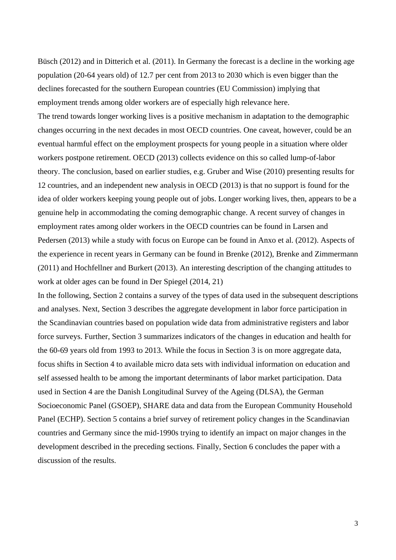Büsch (2012) and in Ditterich et al. (2011). In Germany the forecast is a decline in the working age population (20-64 years old) of 12.7 per cent from 2013 to 2030 which is even bigger than the declines forecasted for the southern European countries (EU Commission) implying that employment trends among older workers are of especially high relevance here. The trend towards longer working lives is a positive mechanism in adaptation to the demographic changes occurring in the next decades in most OECD countries. One caveat, however, could be an eventual harmful effect on the employment prospects for young people in a situation where older workers postpone retirement. OECD (2013) collects evidence on this so called lump-of-labor theory. The conclusion, based on earlier studies, e.g. Gruber and Wise (2010) presenting results for 12 countries, and an independent new analysis in OECD (2013) is that no support is found for the idea of older workers keeping young people out of jobs. Longer working lives, then, appears to be a genuine help in accommodating the coming demographic change. A recent survey of changes in employment rates among older workers in the OECD countries can be found in Larsen and Pedersen (2013) while a study with focus on Europe can be found in Anxo et al. (2012). Aspects of the experience in recent years in Germany can be found in Brenke (2012), Brenke and Zimmermann (2011) and Hochfellner and Burkert (2013). An interesting description of the changing attitudes to work at older ages can be found in Der Spiegel (2014, 21)

In the following, Section 2 contains a survey of the types of data used in the subsequent descriptions and analyses. Next, Section 3 describes the aggregate development in labor force participation in the Scandinavian countries based on population wide data from administrative registers and labor force surveys. Further, Section 3 summarizes indicators of the changes in education and health for the 60-69 years old from 1993 to 2013. While the focus in Section 3 is on more aggregate data, focus shifts in Section 4 to available micro data sets with individual information on education and self assessed health to be among the important determinants of labor market participation. Data used in Section 4 are the Danish Longitudinal Survey of the Ageing (DLSA), the German Socioeconomic Panel (GSOEP), SHARE data and data from the European Community Household Panel (ECHP). Section 5 contains a brief survey of retirement policy changes in the Scandinavian countries and Germany since the mid-1990s trying to identify an impact on major changes in the development described in the preceding sections. Finally, Section 6 concludes the paper with a discussion of the results.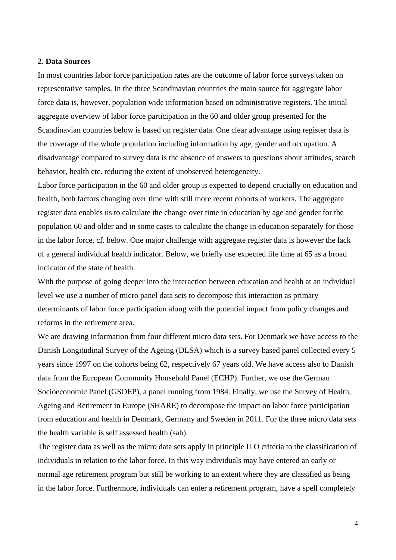#### **2. Data Sources**

In most countries labor force participation rates are the outcome of labor force surveys taken on representative samples. In the three Scandinavian countries the main source for aggregate labor force data is, however, population wide information based on administrative registers. The initial aggregate overview of labor force participation in the 60 and older group presented for the Scandinavian countries below is based on register data. One clear advantage using register data is the coverage of the whole population including information by age, gender and occupation. A disadvantage compared to survey data is the absence of answers to questions about attitudes, search behavior, health etc. reducing the extent of unobserved heterogeneity.

Labor force participation in the 60 and older group is expected to depend crucially on education and health, both factors changing over time with still more recent cohorts of workers. The aggregate register data enables us to calculate the change over time in education by age and gender for the population 60 and older and in some cases to calculate the change in education separately for those in the labor force, cf. below. One major challenge with aggregate register data is however the lack of a general individual health indicator. Below, we briefly use expected life time at 65 as a broad indicator of the state of health.

With the purpose of going deeper into the interaction between education and health at an individual level we use a number of micro panel data sets to decompose this interaction as primary determinants of labor force participation along with the potential impact from policy changes and reforms in the retirement area.

We are drawing information from four different micro data sets. For Denmark we have access to the Danish Longitudinal Survey of the Ageing (DLSA) which is a survey based panel collected every 5 years since 1997 on the cohorts being 62, respectively 67 years old. We have access also to Danish data from the European Community Household Panel (ECHP). Further, we use the German Socioeconomic Panel (GSOEP), a panel running from 1984. Finally, we use the Survey of Health, Ageing and Retirement in Europe (SHARE) to decompose the impact on labor force participation from education and health in Denmark, Germany and Sweden in 2011. For the three micro data sets the health variable is self assessed health (sah).

The register data as well as the micro data sets apply in principle ILO criteria to the classification of individuals in relation to the labor force. In this way individuals may have entered an early or normal age retirement program but still be working to an extent where they are classified as being in the labor force. Furthermore, individuals can enter a retirement program, have a spell completely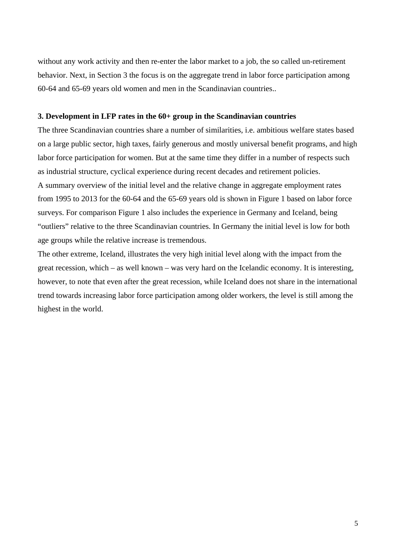without any work activity and then re-enter the labor market to a job, the so called un-retirement behavior. Next, in Section 3 the focus is on the aggregate trend in labor force participation among 60-64 and 65-69 years old women and men in the Scandinavian countries..

#### **3. Development in LFP rates in the 60+ group in the Scandinavian countries**

The three Scandinavian countries share a number of similarities, i.e. ambitious welfare states based on a large public sector, high taxes, fairly generous and mostly universal benefit programs, and high labor force participation for women. But at the same time they differ in a number of respects such as industrial structure, cyclical experience during recent decades and retirement policies. A summary overview of the initial level and the relative change in aggregate employment rates from 1995 to 2013 for the 60-64 and the 65-69 years old is shown in Figure 1 based on labor force surveys. For comparison Figure 1 also includes the experience in Germany and Iceland, being "outliers" relative to the three Scandinavian countries. In Germany the initial level is low for both age groups while the relative increase is tremendous.

The other extreme, Iceland, illustrates the very high initial level along with the impact from the great recession, which – as well known – was very hard on the Icelandic economy. It is interesting, however, to note that even after the great recession, while Iceland does not share in the international trend towards increasing labor force participation among older workers, the level is still among the highest in the world.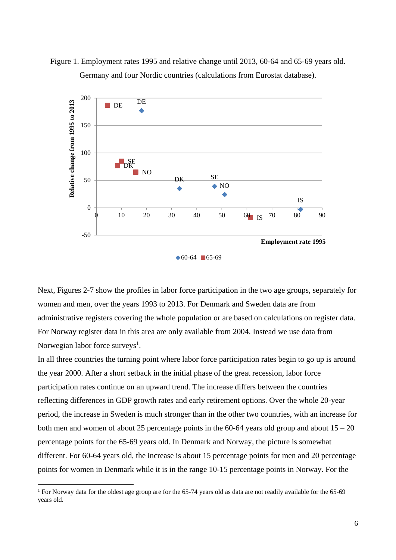

Figure 1. Employment rates 1995 and relative change until 2013, 60-64 and 65-69 years old. Germany and four Nordic countries (calculations from Eurostat database).

Next, Figures 2-7 show the profiles in labor force participation in the two age groups, separately for women and men, over the years 1993 to 2013. For Denmark and Sweden data are from administrative registers covering the whole population or are based on calculations on register data. For Norway register data in this area are only available from 2004. Instead we use data from Norwegian labor force surveys<sup>1</sup>.

In all three countries the turning point where labor force participation rates begin to go up is around the year 2000. After a short setback in the initial phase of the great recession, labor force participation rates continue on an upward trend. The increase differs between the countries reflecting differences in GDP growth rates and early retirement options. Over the whole 20-year period, the increase in Sweden is much stronger than in the other two countries, with an increase for both men and women of about 25 percentage points in the 60-64 years old group and about  $15 - 20$ percentage points for the 65-69 years old. In Denmark and Norway, the picture is somewhat different. For 60-64 years old, the increase is about 15 percentage points for men and 20 percentage points for women in Denmark while it is in the range 10-15 percentage points in Norway. For the

<sup>&</sup>lt;sup>1</sup> For Norway data for the oldest age group are for the 65-74 years old as data are not readily available for the 65-69 years old.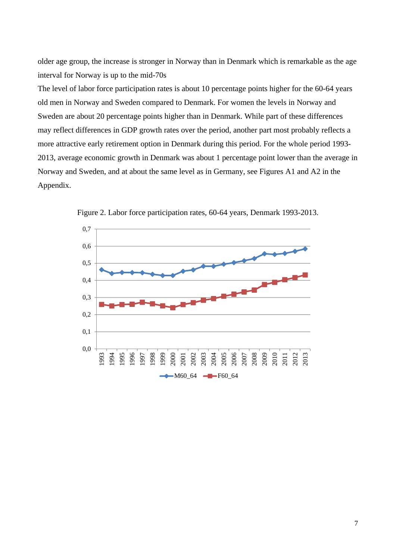older age group, the increase is stronger in Norway than in Denmark which is remarkable as the age interval for Norway is up to the mid-70s

The level of labor force participation rates is about 10 percentage points higher for the 60-64 years old men in Norway and Sweden compared to Denmark. For women the levels in Norway and Sweden are about 20 percentage points higher than in Denmark. While part of these differences may reflect differences in GDP growth rates over the period, another part most probably reflects a more attractive early retirement option in Denmark during this period. For the whole period 1993- 2013, average economic growth in Denmark was about 1 percentage point lower than the average in Norway and Sweden, and at about the same level as in Germany, see Figures A1 and A2 in the Appendix.



Figure 2. Labor force participation rates, 60-64 years, Denmark 1993-2013.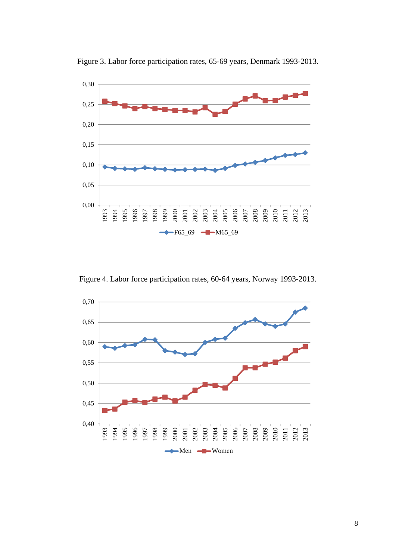

Figure 3. Labor force participation rates, 65-69 years, Denmark 1993-2013.

Figure 4. Labor force participation rates, 60-64 years, Norway 1993-2013.

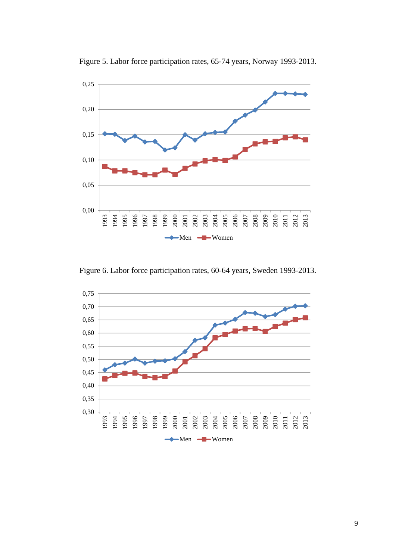

Figure 5. Labor force participation rates, 65-74 years, Norway 1993-2013.

Figure 6. Labor force participation rates, 60-64 years, Sweden 1993-2013.

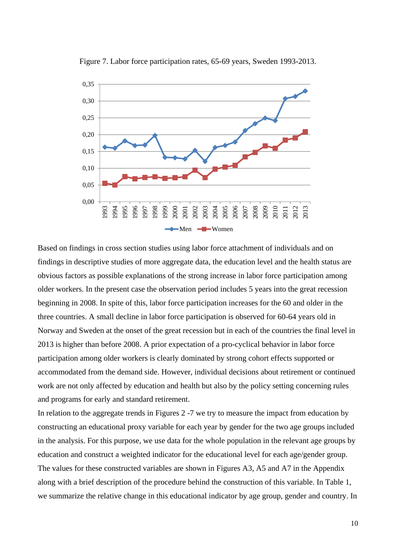

Figure 7. Labor force participation rates, 65-69 years, Sweden 1993-2013.

Based on findings in cross section studies using labor force attachment of individuals and on findings in descriptive studies of more aggregate data, the education level and the health status are obvious factors as possible explanations of the strong increase in labor force participation among older workers. In the present case the observation period includes 5 years into the great recession beginning in 2008. In spite of this, labor force participation increases for the 60 and older in the three countries. A small decline in labor force participation is observed for 60-64 years old in Norway and Sweden at the onset of the great recession but in each of the countries the final level in 2013 is higher than before 2008. A prior expectation of a pro-cyclical behavior in labor force participation among older workers is clearly dominated by strong cohort effects supported or accommodated from the demand side. However, individual decisions about retirement or continued work are not only affected by education and health but also by the policy setting concerning rules and programs for early and standard retirement.

In relation to the aggregate trends in Figures 2 -7 we try to measure the impact from education by constructing an educational proxy variable for each year by gender for the two age groups included in the analysis. For this purpose, we use data for the whole population in the relevant age groups by education and construct a weighted indicator for the educational level for each age/gender group. The values for these constructed variables are shown in Figures A3, A5 and A7 in the Appendix along with a brief description of the procedure behind the construction of this variable. In Table 1, we summarize the relative change in this educational indicator by age group, gender and country. In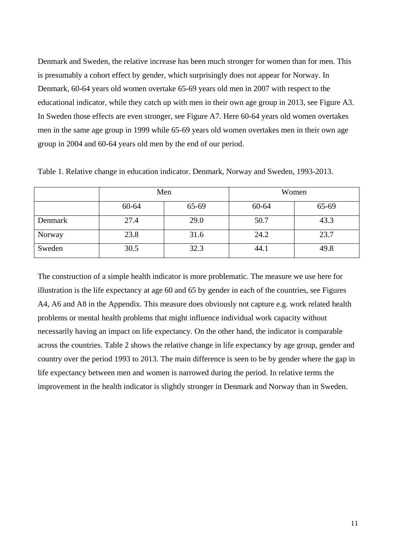Denmark and Sweden, the relative increase has been much stronger for women than for men. This is presumably a cohort effect by gender, which surprisingly does not appear for Norway. In Denmark, 60-64 years old women overtake 65-69 years old men in 2007 with respect to the educational indicator, while they catch up with men in their own age group in 2013, see Figure A3. In Sweden those effects are even stronger, see Figure A7. Here 60-64 years old women overtakes men in the same age group in 1999 while 65-69 years old women overtakes men in their own age group in 2004 and 60-64 years old men by the end of our period.

|         | Men   |       | Women |       |  |
|---------|-------|-------|-------|-------|--|
|         | 60-64 | 65-69 | 60-64 | 65-69 |  |
| Denmark | 27.4  | 29.0  | 50.7  | 43.3  |  |
| Norway  | 23.8  | 31.6  | 24.2  | 23.7  |  |
| Sweden  | 30.5  | 32.3  | 44.1  | 49.8  |  |

Table 1. Relative change in education indicator. Denmark, Norway and Sweden, 1993-2013.

The construction of a simple health indicator is more problematic. The measure we use here for illustration is the life expectancy at age 60 and 65 by gender in each of the countries, see Figures A4, A6 and A8 in the Appendix. This measure does obviously not capture e.g. work related health problems or mental health problems that might influence individual work capacity without necessarily having an impact on life expectancy. On the other hand, the indicator is comparable across the countries. Table 2 shows the relative change in life expectancy by age group, gender and country over the period 1993 to 2013. The main difference is seen to be by gender where the gap in life expectancy between men and women is narrowed during the period. In relative terms the improvement in the health indicator is slightly stronger in Denmark and Norway than in Sweden.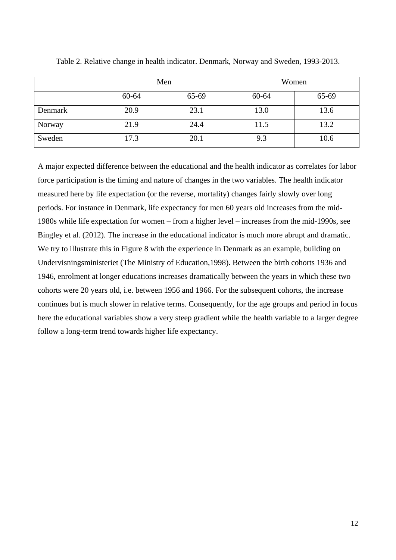|         | Men   |       | Women |       |
|---------|-------|-------|-------|-------|
|         | 60-64 | 65-69 | 60-64 | 65-69 |
| Denmark | 20.9  | 23.1  | 13.0  | 13.6  |
| Norway  | 21.9  | 24.4  | 11.5  | 13.2  |
| Sweden  | 17.3  | 20.1  | 9.3   | 10.6  |

Table 2. Relative change in health indicator. Denmark, Norway and Sweden, 1993-2013.

A major expected difference between the educational and the health indicator as correlates for labor force participation is the timing and nature of changes in the two variables. The health indicator measured here by life expectation (or the reverse, mortality) changes fairly slowly over long periods. For instance in Denmark, life expectancy for men 60 years old increases from the mid-1980s while life expectation for women – from a higher level – increases from the mid-1990s, see Bingley et al. (2012). The increase in the educational indicator is much more abrupt and dramatic. We try to illustrate this in Figure 8 with the experience in Denmark as an example, building on Undervisningsministeriet (The Ministry of Education,1998). Between the birth cohorts 1936 and 1946, enrolment at longer educations increases dramatically between the years in which these two cohorts were 20 years old, i.e. between 1956 and 1966. For the subsequent cohorts, the increase continues but is much slower in relative terms. Consequently, for the age groups and period in focus here the educational variables show a very steep gradient while the health variable to a larger degree follow a long-term trend towards higher life expectancy.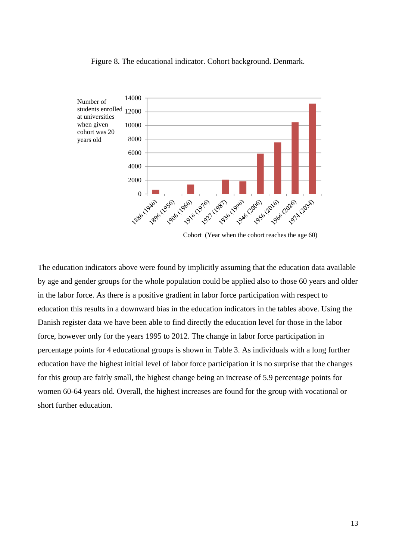#### Figure 8. The educational indicator. Cohort background. Denmark.



Cohort (Year when the cohort reaches the age 60)

The education indicators above were found by implicitly assuming that the education data available by age and gender groups for the whole population could be applied also to those 60 years and older in the labor force. As there is a positive gradient in labor force participation with respect to education this results in a downward bias in the education indicators in the tables above. Using the Danish register data we have been able to find directly the education level for those in the labor force, however only for the years 1995 to 2012. The change in labor force participation in percentage points for 4 educational groups is shown in Table 3. As individuals with a long further education have the highest initial level of labor force participation it is no surprise that the changes for this group are fairly small, the highest change being an increase of 5.9 percentage points for women 60-64 years old. Overall, the highest increases are found for the group with vocational or short further education.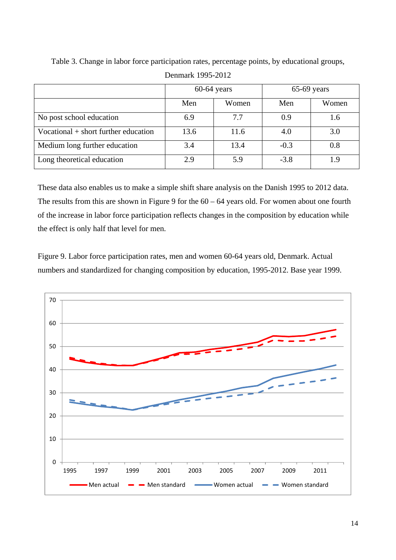|                                        | $60-64$ years |       | $65-69$ years |       |
|----------------------------------------|---------------|-------|---------------|-------|
|                                        | Men           | Women | Men           | Women |
| No post school education               | 6.9           | 7.7   | 0.9           | 1.6   |
| Vocational $+$ short further education | 13.6          | 11.6  | 4.0           | 3.0   |
| Medium long further education          | 3.4           | 13.4  | $-0.3$        | 0.8   |
| Long theoretical education             | 2.9           | 5.9   | $-3.8$        | 19    |

Table 3. Change in labor force participation rates, percentage points, by educational groups,

These data also enables us to make a simple shift share analysis on the Danish 1995 to 2012 data. The results from this are shown in Figure 9 for the  $60 - 64$  years old. For women about one fourth of the increase in labor force participation reflects changes in the composition by education while the effect is only half that level for men.

Figure 9. Labor force participation rates, men and women 60-64 years old, Denmark. Actual numbers and standardized for changing composition by education, 1995-2012. Base year 1999.

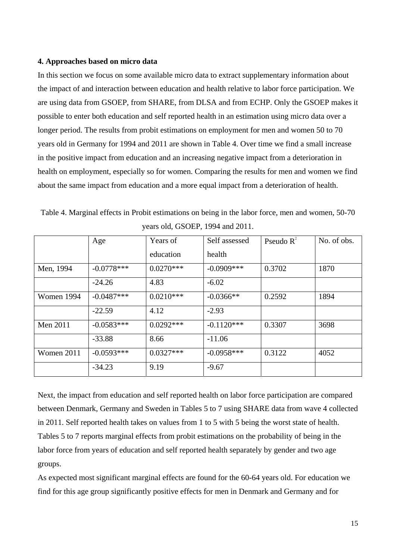#### **4. Approaches based on micro data**

In this section we focus on some available micro data to extract supplementary information about the impact of and interaction between education and health relative to labor force participation. We are using data from GSOEP, from SHARE, from DLSA and from ECHP. Only the GSOEP makes it possible to enter both education and self reported health in an estimation using micro data over a longer period. The results from probit estimations on employment for men and women 50 to 70 years old in Germany for 1994 and 2011 are shown in Table 4. Over time we find a small increase in the positive impact from education and an increasing negative impact from a deterioration in health on employment, especially so for women. Comparing the results for men and women we find about the same impact from education and a more equal impact from a deterioration of health.

|            | Age          | Years of    | Self assessed | Pseudo $R^2$ | No. of obs. |
|------------|--------------|-------------|---------------|--------------|-------------|
|            |              | education   | health        |              |             |
| Men, 1994  | $-0.0778***$ | $0.0270***$ | $-0.0909$ *** | 0.3702       | 1870        |
|            | $-24.26$     | 4.83        | $-6.02$       |              |             |
| Women 1994 | $-0.0487***$ | $0.0210***$ | $-0.0366**$   | 0.2592       | 1894        |
|            | $-22.59$     | 4.12        | $-2.93$       |              |             |
| Men 2011   | $-0.0583***$ | $0.0292***$ | $-0.1120***$  | 0.3307       | 3698        |
|            | $-33.88$     | 8.66        | $-11.06$      |              |             |
| Women 2011 | $-0.0593***$ | $0.0327***$ | $-0.0958***$  | 0.3122       | 4052        |
|            | $-34.23$     | 9.19        | $-9.67$       |              |             |

Table 4. Marginal effects in Probit estimations on being in the labor force, men and women, 50-70 years old, GSOEP, 1994 and 2011.

Next, the impact from education and self reported health on labor force participation are compared between Denmark, Germany and Sweden in Tables 5 to 7 using SHARE data from wave 4 collected in 2011. Self reported health takes on values from 1 to 5 with 5 being the worst state of health. Tables 5 to 7 reports marginal effects from probit estimations on the probability of being in the labor force from years of education and self reported health separately by gender and two age groups.

As expected most significant marginal effects are found for the 60-64 years old. For education we find for this age group significantly positive effects for men in Denmark and Germany and for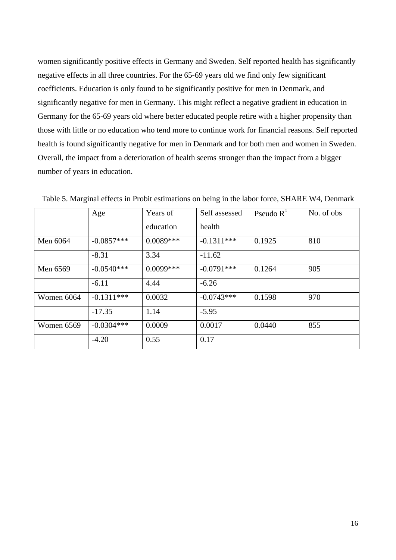women significantly positive effects in Germany and Sweden. Self reported health has significantly negative effects in all three countries. For the 65-69 years old we find only few significant coefficients. Education is only found to be significantly positive for men in Denmark, and significantly negative for men in Germany. This might reflect a negative gradient in education in Germany for the 65-69 years old where better educated people retire with a higher propensity than those with little or no education who tend more to continue work for financial reasons. Self reported health is found significantly negative for men in Denmark and for both men and women in Sweden. Overall, the impact from a deterioration of health seems stronger than the impact from a bigger number of years in education.

|            | Age          | Years of    | Self assessed | Pseudo $R^2$ | No. of obs |
|------------|--------------|-------------|---------------|--------------|------------|
|            |              | education   | health        |              |            |
| Men 6064   | $-0.0857***$ | $0.0089***$ | $-0.1311***$  | 0.1925       | 810        |
|            | $-8.31$      | 3.34        | $-11.62$      |              |            |
| Men 6569   | $-0.0540***$ | $0.0099***$ | $-0.0791***$  | 0.1264       | 905        |
|            | $-6.11$      | 4.44        | $-6.26$       |              |            |
| Women 6064 | $-0.1311***$ | 0.0032      | $-0.0743***$  | 0.1598       | 970        |
|            | $-17.35$     | 1.14        | $-5.95$       |              |            |
| Women 6569 | $-0.0304***$ | 0.0009      | 0.0017        | 0.0440       | 855        |
|            | $-4.20$      | 0.55        | 0.17          |              |            |

Table 5. Marginal effects in Probit estimations on being in the labor force, SHARE W4, Denmark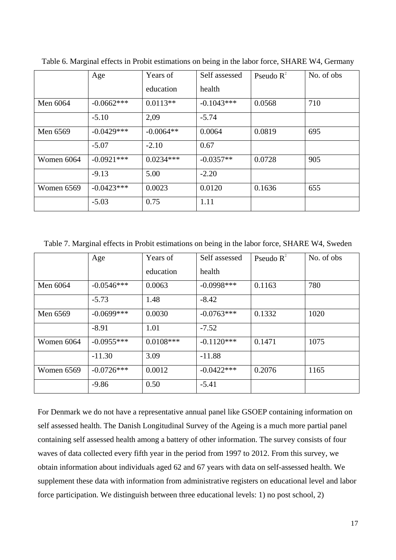|            | Age          | Years of    | Self assessed | Pseudo $R^2$ | No. of obs |
|------------|--------------|-------------|---------------|--------------|------------|
|            |              | education   | health        |              |            |
| Men 6064   | $-0.0662***$ | $0.0113**$  | $-0.1043***$  | 0.0568       | 710        |
|            | $-5.10$      | 2,09        | $-5.74$       |              |            |
| Men 6569   | $-0.0429***$ | $-0.0064**$ | 0.0064        | 0.0819       | 695        |
|            | $-5.07$      | $-2.10$     | 0.67          |              |            |
| Women 6064 | $-0.0921***$ | $0.0234***$ | $-0.0357**$   | 0.0728       | 905        |
|            | $-9.13$      | 5.00        | $-2.20$       |              |            |
| Women 6569 | $-0.0423***$ | 0.0023      | 0.0120        | 0.1636       | 655        |
|            | $-5.03$      | 0.75        | 1.11          |              |            |

Table 6. Marginal effects in Probit estimations on being in the labor force, SHARE W4, Germany

Table 7. Marginal effects in Probit estimations on being in the labor force, SHARE W4, Sweden

|            | Age          | Years of    | Self assessed | Pseudo $R^2$ | No. of obs |
|------------|--------------|-------------|---------------|--------------|------------|
|            |              | education   | health        |              |            |
| Men 6064   | $-0.0546***$ | 0.0063      | $-0.0998$ *** | 0.1163       | 780        |
|            | $-5.73$      | 1.48        | $-8.42$       |              |            |
| Men 6569   | $-0.0699***$ | 0.0030      | $-0.0763***$  | 0.1332       | 1020       |
|            | $-8.91$      | 1.01        | $-7.52$       |              |            |
| Women 6064 | $-0.0955***$ | $0.0108***$ | $-0.1120***$  | 0.1471       | 1075       |
|            | $-11.30$     | 3.09        | $-11.88$      |              |            |
| Women 6569 | $-0.0726***$ | 0.0012      | $-0.0422***$  | 0.2076       | 1165       |
|            | $-9.86$      | 0.50        | $-5.41$       |              |            |

For Denmark we do not have a representative annual panel like GSOEP containing information on self assessed health. The Danish Longitudinal Survey of the Ageing is a much more partial panel containing self assessed health among a battery of other information. The survey consists of four waves of data collected every fifth year in the period from 1997 to 2012. From this survey, we obtain information about individuals aged 62 and 67 years with data on self-assessed health. We supplement these data with information from administrative registers on educational level and labor force participation. We distinguish between three educational levels: 1) no post school, 2)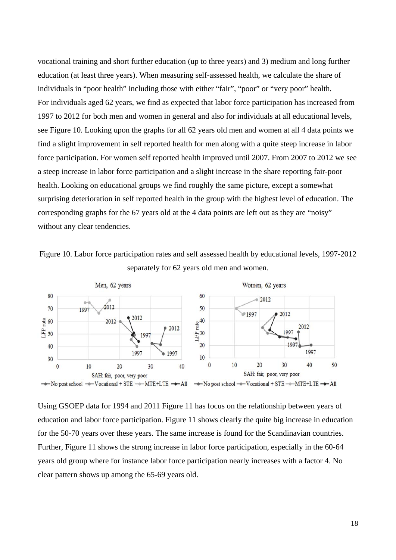vocational training and short further education (up to three years) and 3) medium and long further education (at least three years). When measuring self-assessed health, we calculate the share of individuals in "poor health" including those with either "fair", "poor" or "very poor" health. For individuals aged 62 years, we find as expected that labor force participation has increased from 1997 to 2012 for both men and women in general and also for individuals at all educational levels, see Figure 10. Looking upon the graphs for all 62 years old men and women at all 4 data points we find a slight improvement in self reported health for men along with a quite steep increase in labor force participation. For women self reported health improved until 2007. From 2007 to 2012 we see a steep increase in labor force participation and a slight increase in the share reporting fair-poor health. Looking on educational groups we find roughly the same picture, except a somewhat surprising deterioration in self reported health in the group with the highest level of education. The corresponding graphs for the 67 years old at the 4 data points are left out as they are "noisy" without any clear tendencies.





Using GSOEP data for 1994 and 2011 Figure 11 has focus on the relationship between years of education and labor force participation. Figure 11 shows clearly the quite big increase in education for the 50-70 years over these years. The same increase is found for the Scandinavian countries. Further, Figure 11 shows the strong increase in labor force participation, especially in the 60-64 years old group where for instance labor force participation nearly increases with a factor 4. No clear pattern shows up among the 65-69 years old.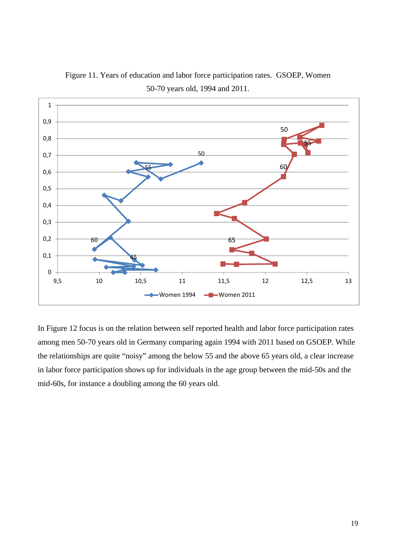

Figure 11. Years of education and labor force participation rates. GSOEP, Women 50-70 years old, 1994 and 2011.

In Figure 12 focus is on the relation between self reported health and labor force participation rates among men 50-70 years old in Germany comparing again 1994 with 2011 based on GSOEP. While the relationships are quite "noisy" among the below 55 and the above 65 years old, a clear increase in labor force participation shows up for individuals in the age group between the mid-50s and the mid-60s, for instance a doubling among the 60 years old.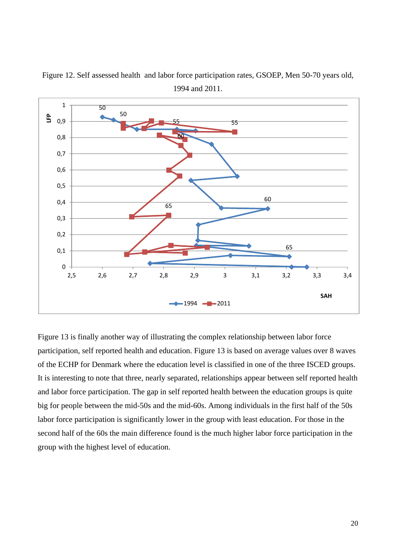

Figure 12. Self assessed health and labor force participation rates, GSOEP, Men 50-70 years old, 1994 and 2011.

Figure 13 is finally another way of illustrating the complex relationship between labor force participation, self reported health and education. Figure 13 is based on average values over 8 waves of the ECHP for Denmark where the education level is classified in one of the three ISCED groups. It is interesting to note that three, nearly separated, relationships appear between self reported health and labor force participation. The gap in self reported health between the education groups is quite big for people between the mid-50s and the mid-60s. Among individuals in the first half of the 50s labor force participation is significantly lower in the group with least education. For those in the second half of the 60s the main difference found is the much higher labor force participation in the group with the highest level of education.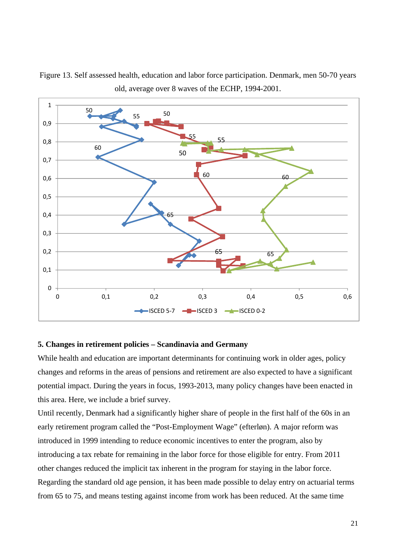

Figure 13. Self assessed health, education and labor force participation. Denmark, men 50-70 years old, average over 8 waves of the ECHP, 1994-2001.

#### **5. Changes in retirement policies – Scandinavia and Germany**

While health and education are important determinants for continuing work in older ages, policy changes and reforms in the areas of pensions and retirement are also expected to have a significant potential impact. During the years in focus, 1993-2013, many policy changes have been enacted in this area. Here, we include a brief survey.

Until recently, Denmark had a significantly higher share of people in the first half of the 60s in an early retirement program called the "Post-Employment Wage" (efterløn). A major reform was introduced in 1999 intending to reduce economic incentives to enter the program, also by introducing a tax rebate for remaining in the labor force for those eligible for entry. From 2011 other changes reduced the implicit tax inherent in the program for staying in the labor force. Regarding the standard old age pension, it has been made possible to delay entry on actuarial terms from 65 to 75, and means testing against income from work has been reduced. At the same time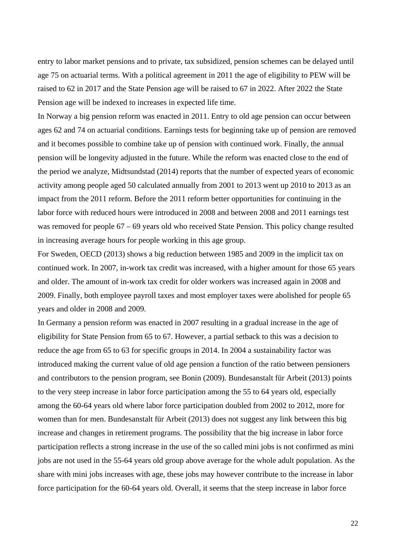entry to labor market pensions and to private, tax subsidized, pension schemes can be delayed until age 75 on actuarial terms. With a political agreement in 2011 the age of eligibility to PEW will be raised to 62 in 2017 and the State Pension age will be raised to 67 in 2022. After 2022 the State Pension age will be indexed to increases in expected life time.

In Norway a big pension reform was enacted in 2011. Entry to old age pension can occur between ages 62 and 74 on actuarial conditions. Earnings tests for beginning take up of pension are removed and it becomes possible to combine take up of pension with continued work. Finally, the annual pension will be longevity adjusted in the future. While the reform was enacted close to the end of the period we analyze, Midtsundstad (2014) reports that the number of expected years of economic activity among people aged 50 calculated annually from 2001 to 2013 went up 2010 to 2013 as an impact from the 2011 reform. Before the 2011 reform better opportunities for continuing in the labor force with reduced hours were introduced in 2008 and between 2008 and 2011 earnings test was removed for people 67 – 69 years old who received State Pension. This policy change resulted in increasing average hours for people working in this age group.

For Sweden, OECD (2013) shows a big reduction between 1985 and 2009 in the implicit tax on continued work. In 2007, in-work tax credit was increased, with a higher amount for those 65 years and older. The amount of in-work tax credit for older workers was increased again in 2008 and 2009. Finally, both employee payroll taxes and most employer taxes were abolished for people 65 years and older in 2008 and 2009.

In Germany a pension reform was enacted in 2007 resulting in a gradual increase in the age of eligibility for State Pension from 65 to 67. However, a partial setback to this was a decision to reduce the age from 65 to 63 for specific groups in 2014. In 2004 a sustainability factor was introduced making the current value of old age pension a function of the ratio between pensioners and contributors to the pension program, see Bonin (2009). Bundesanstalt für Arbeit (2013) points to the very steep increase in labor force participation among the 55 to 64 years old, especially among the 60-64 years old where labor force participation doubled from 2002 to 2012, more for women than for men. Bundesanstalt für Arbeit (2013) does not suggest any link between this big increase and changes in retirement programs. The possibility that the big increase in labor force participation reflects a strong increase in the use of the so called mini jobs is not confirmed as mini jobs are not used in the 55-64 years old group above average for the whole adult population. As the share with mini jobs increases with age, these jobs may however contribute to the increase in labor force participation for the 60-64 years old. Overall, it seems that the steep increase in labor force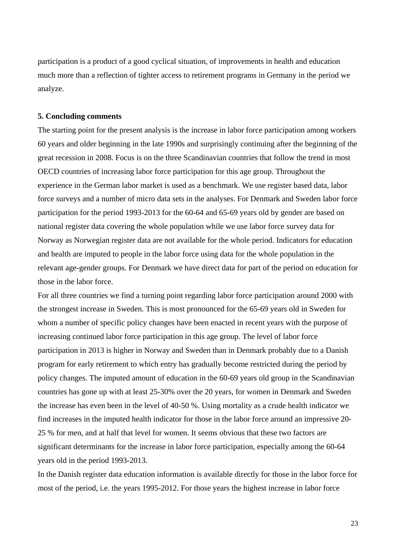participation is a product of a good cyclical situation, of improvements in health and education much more than a reflection of tighter access to retirement programs in Germany in the period we analyze.

#### **5. Concluding comments**

The starting point for the present analysis is the increase in labor force participation among workers 60 years and older beginning in the late 1990s and surprisingly continuing after the beginning of the great recession in 2008. Focus is on the three Scandinavian countries that follow the trend in most OECD countries of increasing labor force participation for this age group. Throughout the experience in the German labor market is used as a benchmark. We use register based data, labor force surveys and a number of micro data sets in the analyses. For Denmark and Sweden labor force participation for the period 1993-2013 for the 60-64 and 65-69 years old by gender are based on national register data covering the whole population while we use labor force survey data for Norway as Norwegian register data are not available for the whole period. Indicators for education and health are imputed to people in the labor force using data for the whole population in the relevant age-gender groups. For Denmark we have direct data for part of the period on education for those in the labor force.

For all three countries we find a turning point regarding labor force participation around 2000 with the strongest increase in Sweden. This is most pronounced for the 65-69 years old in Sweden for whom a number of specific policy changes have been enacted in recent years with the purpose of increasing continued labor force participation in this age group. The level of labor force participation in 2013 is higher in Norway and Sweden than in Denmark probably due to a Danish program for early retirement to which entry has gradually become restricted during the period by policy changes. The imputed amount of education in the 60-69 years old group in the Scandinavian countries has gone up with at least 25-30% over the 20 years, for women in Denmark and Sweden the increase has even been in the level of 40-50 %. Using mortality as a crude health indicator we find increases in the imputed health indicator for those in the labor force around an impressive 20- 25 % for men, and at half that level for women. It seems obvious that these two factors are significant determinants for the increase in labor force participation, especially among the 60-64 years old in the period 1993-2013.

In the Danish register data education information is available directly for those in the labor force for most of the period, i.e. the years 1995-2012. For those years the highest increase in labor force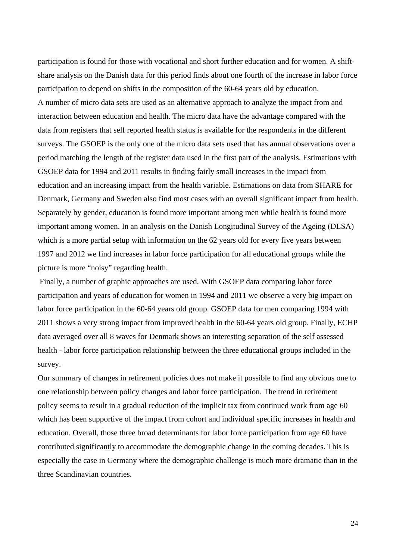participation is found for those with vocational and short further education and for women. A shiftshare analysis on the Danish data for this period finds about one fourth of the increase in labor force participation to depend on shifts in the composition of the 60-64 years old by education. A number of micro data sets are used as an alternative approach to analyze the impact from and interaction between education and health. The micro data have the advantage compared with the data from registers that self reported health status is available for the respondents in the different surveys. The GSOEP is the only one of the micro data sets used that has annual observations over a period matching the length of the register data used in the first part of the analysis. Estimations with GSOEP data for 1994 and 2011 results in finding fairly small increases in the impact from education and an increasing impact from the health variable. Estimations on data from SHARE for Denmark, Germany and Sweden also find most cases with an overall significant impact from health. Separately by gender, education is found more important among men while health is found more important among women. In an analysis on the Danish Longitudinal Survey of the Ageing (DLSA) which is a more partial setup with information on the 62 years old for every five years between 1997 and 2012 we find increases in labor force participation for all educational groups while the picture is more "noisy" regarding health.

 Finally, a number of graphic approaches are used. With GSOEP data comparing labor force participation and years of education for women in 1994 and 2011 we observe a very big impact on labor force participation in the 60-64 years old group. GSOEP data for men comparing 1994 with 2011 shows a very strong impact from improved health in the 60-64 years old group. Finally, ECHP data averaged over all 8 waves for Denmark shows an interesting separation of the self assessed health - labor force participation relationship between the three educational groups included in the survey.

Our summary of changes in retirement policies does not make it possible to find any obvious one to one relationship between policy changes and labor force participation. The trend in retirement policy seems to result in a gradual reduction of the implicit tax from continued work from age 60 which has been supportive of the impact from cohort and individual specific increases in health and education. Overall, those three broad determinants for labor force participation from age 60 have contributed significantly to accommodate the demographic change in the coming decades. This is especially the case in Germany where the demographic challenge is much more dramatic than in the three Scandinavian countries.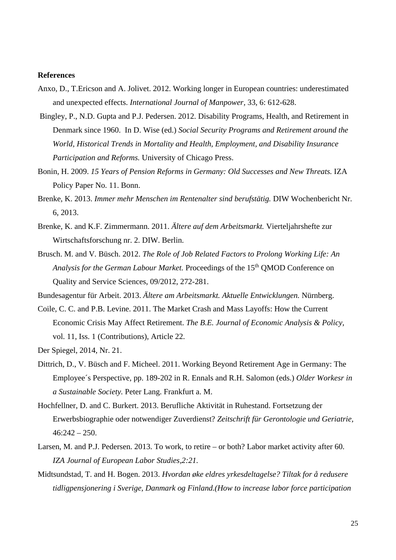#### **References**

- Anxo, D., T.Ericson and A. Jolivet. 2012. Working longer in European countries: underestimated and unexpected effects. *International Journal of Manpower,* 33, 6: 612-628.
- Bingley, P., N.D. Gupta and P.J. Pedersen. 2012. Disability Programs, Health, and Retirement in Denmark since 1960. In D. Wise (ed.) *Social Security Programs and Retirement around the World, Historical Trends in Mortality and Health, Employment, and Disability Insurance Participation and Reforms.* University of Chicago Press.
- Bonin, H. 2009. 15 Years of Pension Reforms in Germany: Old Successes and New Threats. IZA Policy Paper No. 11. Bonn.
- Brenke, K. 2013. *Immer mehr Menschen im Rentenalter sind berufstätig.* DIW Wochenbericht Nr. 6, 2013.
- Brenke, K. and K.F. Zimmermann. 2011. *Ältere auf dem Arbeitsmarkt.* Vierteljahrshefte zur Wirtschaftsforschung nr. 2. DIW. Berlin.
- Brusch. M. and V*.* Büsch. 2012. *The Role of Job Related Factors to Prolong Working Life: An*  Analysis for the German Labour Market. Proceedings of the 15<sup>th</sup> QMOD Conference on Quality and Service Sciences, 09/2012, 272-281.

Bundesagentur für Arbeit. 2013. *Ältere am Arbeitsmarkt. Aktuelle Entwicklungen.* Nürnberg.

Coile, C. C. and P.B. Levine. 2011. The Market Crash and Mass Layoffs: How the Current Economic Crisis May Affect Retirement. *The B.E. Journal of Economic Analysis & Policy,*  vol. 11, Iss. 1 (Contributions), Article 22.

Der Spiegel, 2014, Nr. 21.

- Dittrich, D., V. Büsch and F. Micheel. 2011. Working Beyond Retirement Age in Germany: The Employee´s Perspective, pp. 189-202 in R. Ennals and R.H. Salomon (eds.) *Older Workesr in a Sustainable Society.* Peter Lang. Frankfurt a. M.
- Hochfellner, D. and C. Burkert. 2013. Berufliche Aktivität in Ruhestand. Fortsetzung der Erwerbsbiographie oder notwendiger Zuverdienst? *Zeitschrift für Gerontologie und Geriatrie,*   $46:242 - 250.$
- Larsen, M. and P.J. Pedersen. 2013. To work, to retire or both? Labor market activity after 60. *IZA Journal of European Labor Studies,2:21.*
- Midtsundstad, T. and H. Bogen. 2013. *Hvordan øke eldres yrkesdeltagelse? Tiltak for å redusere tidligpensjonering i Sverige, Danmark og Finland.(How to increase labor force participation*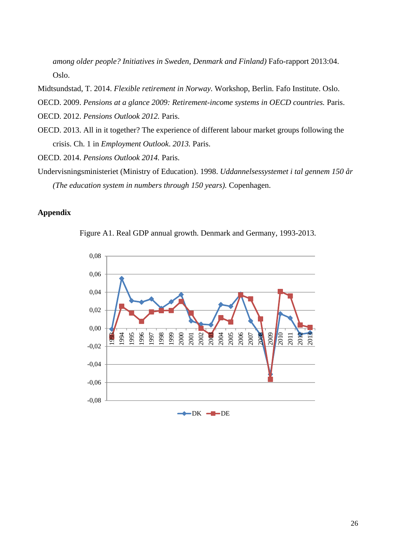*among older people? Initiatives in Sweden, Denmark and Finland)* Fafo-rapport 2013:04. Oslo.

Midtsundstad, T. 2014. *Flexible retirement in Norway.* Workshop, Berlin. Fafo Institute. Oslo.

OECD. 2009. *Pensions at a glance 2009: Retirement-income systems in OECD countries.* Paris.

OECD. 2012. *Pensions Outlook 2012.* Paris.

OECD. 2013. All in it together? The experience of different labour market groups following the crisis. Ch. 1 in *Employment Outlook*. *2013.* Paris.

OECD. 2014. *Pensions Outlook 2014.* Paris.

Undervisningsministeriet (Ministry of Education). 1998. *Uddannelsessystemet i tal gennem 150 år (The education system in numbers through 150 years).* Copenhagen.

#### **Appendix**



Figure A1. Real GDP annual growth. Denmark and Germany, 1993-2013.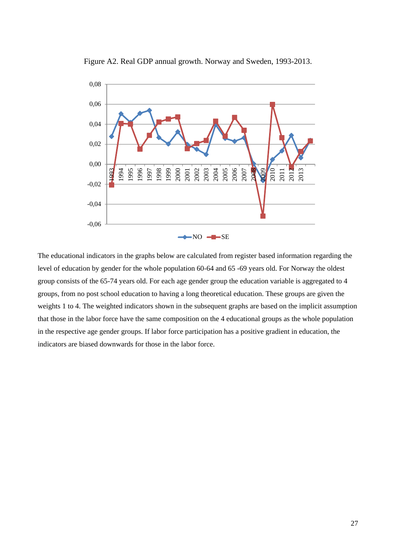

Figure A2. Real GDP annual growth. Norway and Sweden, 1993-2013.

The educational indicators in the graphs below are calculated from register based information regarding the level of education by gender for the whole population 60-64 and 65 -69 years old. For Norway the oldest group consists of the 65-74 years old. For each age gender group the education variable is aggregated to 4 groups, from no post school education to having a long theoretical education. These groups are given the weights 1 to 4. The weighted indicators shown in the subsequent graphs are based on the implicit assumption that those in the labor force have the same composition on the 4 educational groups as the whole population in the respective age gender groups. If labor force participation has a positive gradient in education, the indicators are biased downwards for those in the labor force.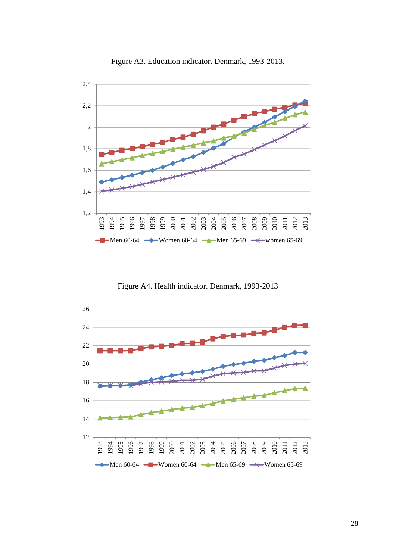

Figure A3. Education indicator. Denmark, 1993-2013.

Figure A4. Health indicator. Denmark, 1993-2013

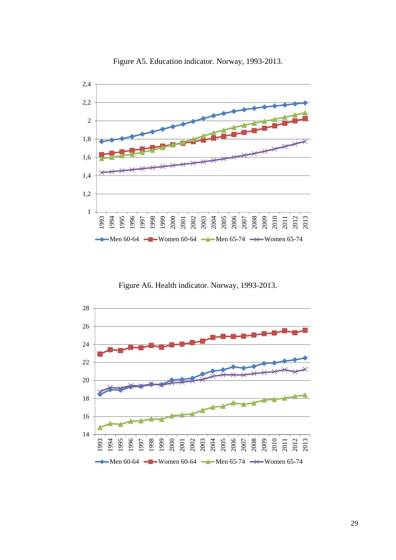

Figure A5. Education indicator. Norway, 1993-2013.

Figure A6. Health indicator. Norway, 1993-2013.